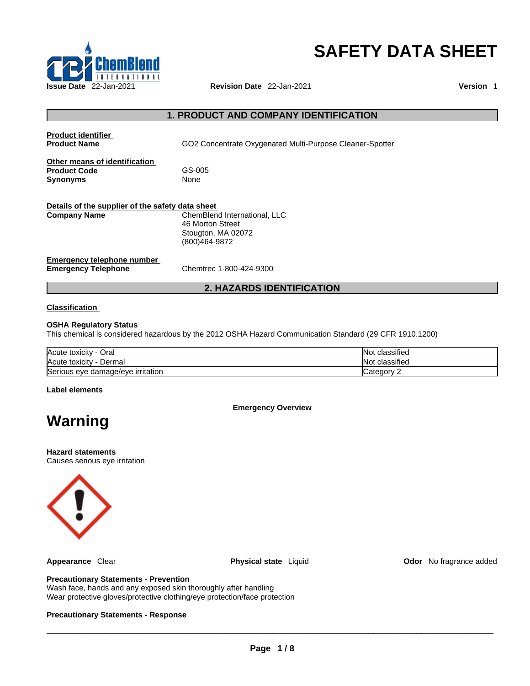

# **SAFETY DATA SHEET**

# **1. PRODUCT AND COMPANY IDENTIFICATION**

| <b>Product identifier</b><br><b>Product Name</b>                        | GO2 Concentrate Oxygenated Multi-Purpose Cleaner-Spotter                                |
|-------------------------------------------------------------------------|-----------------------------------------------------------------------------------------|
| Other means of identification<br><b>Product Code</b><br><b>Synonyms</b> | GS-005<br><b>None</b>                                                                   |
| Details of the supplier of the safety data sheet<br><b>Company Name</b> | ChemBlend International, LLC<br>46 Morton Street<br>Stougton, MA 02072<br>(800)464-9872 |
| Emergency telephone number<br><b>Emergency Telephone</b>                | Chemtrec 1-800-424-9300                                                                 |

# **2. HAZARDS IDENTIFICATION**

#### **Classification**

# **OSHA Regulatory Status**

This chemical is considered hazardous by the 2012 OSHA Hazard Communication Standard (29 CFR 1910.1200)

| Acute toxicity<br>Oral<br>$\sim$  | .<br>classified<br>NI.               |
|-----------------------------------|--------------------------------------|
| Acute toxicity<br>Dermal          | $\cdot$<br>: classified<br>NI.<br>าษ |
| Serious eye damage/eye irritation | atenory<br>valeuvi                   |

#### **Label elements**

**Emergency Overview** 

# **Warning**

**Hazard statements** Causes serious eye irritation



**Appearance** Clear **Physical state** Liquid **Odor** No fragrance added

#### **Precautionary Statements - Prevention**

Wash face, hands and any exposed skin thoroughly after handling Wear protective gloves/protective clothing/eye protection/face protection

#### **Precautionary Statements - Response**

 $\_$  ,  $\_$  ,  $\_$  ,  $\_$  ,  $\_$  ,  $\_$  ,  $\_$  ,  $\_$  ,  $\_$  ,  $\_$  ,  $\_$  ,  $\_$  ,  $\_$  ,  $\_$  ,  $\_$  ,  $\_$  ,  $\_$  ,  $\_$  ,  $\_$  ,  $\_$  ,  $\_$  ,  $\_$  ,  $\_$  ,  $\_$  ,  $\_$  ,  $\_$  ,  $\_$  ,  $\_$  ,  $\_$  ,  $\_$  ,  $\_$  ,  $\_$  ,  $\_$  ,  $\_$  ,  $\_$  ,  $\_$  ,  $\_$  ,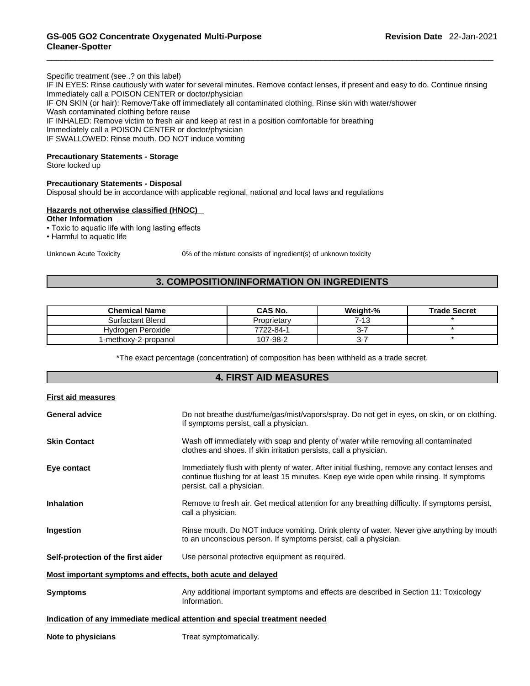#### Specific treatment (see .? on this label)

IF IN EYES: Rinse cautiously with water for several minutes. Remove contact lenses, if present and easy to do. Continue rinsing Immediately call a POISON CENTER or doctor/physician IF ON SKIN (or hair): Remove/Take off immediately all contaminated clothing. Rinse skin with water/shower Wash contaminated clothing before reuse

IF INHALED: Remove victim to fresh air and keep at rest in a position comfortable for breathing

Immediately call a POISON CENTER or doctor/physician

IF SWALLOWED: Rinse mouth. DO NOT induce vomiting

### **Precautionary Statements - Storage**

Store locked up

#### **Precautionary Statements - Disposal**

Disposal should be in accordance with applicable regional, national and local laws and regulations

# **Hazards not otherwise classified (HNOC)**

**Other Information** 

• Toxic to aquatic life with long lasting effects

• Harmful to aquatic life

Unknown Acute Toxicity 0% of the mixture consists of ingredient(s) of unknown toxicity

# **3. COMPOSITION/INFORMATION ON INGREDIENTS**

| <b>Chemical Name</b> | <b>CAS No.</b> | Weight-% | <b>Trade Secret</b> |
|----------------------|----------------|----------|---------------------|
| Surfactant Blend     | Proprietary    | 7-13     |                     |
| Hydrogen Peroxide    | 7722-84-1      | ა-       |                     |
| 1-methoxy-2-propanol | 107-98-2       | -ت       |                     |

\*The exact percentage (concentration) of composition has been withheld as a trade secret.

# **4. FIRST AID MEASURES**

| <b>First aid measures</b>                                   |                                                                                                                                                                                                                         |
|-------------------------------------------------------------|-------------------------------------------------------------------------------------------------------------------------------------------------------------------------------------------------------------------------|
| <b>General advice</b>                                       | Do not breathe dust/fume/gas/mist/vapors/spray. Do not get in eyes, on skin, or on clothing.<br>If symptoms persist, call a physician.                                                                                  |
| <b>Skin Contact</b>                                         | Wash off immediately with soap and plenty of water while removing all contaminated<br>clothes and shoes. If skin irritation persists, call a physician.                                                                 |
| Eye contact                                                 | Immediately flush with plenty of water. After initial flushing, remove any contact lenses and<br>continue flushing for at least 15 minutes. Keep eye wide open while rinsing. If symptoms<br>persist, call a physician. |
| <b>Inhalation</b>                                           | Remove to fresh air. Get medical attention for any breathing difficulty. If symptoms persist,<br>call a physician.                                                                                                      |
| Ingestion                                                   | Rinse mouth. Do NOT induce vomiting. Drink plenty of water. Never give anything by mouth<br>to an unconscious person. If symptoms persist, call a physician.                                                            |
| Self-protection of the first aider                          | Use personal protective equipment as required.                                                                                                                                                                          |
| Most important symptoms and effects, both acute and delayed |                                                                                                                                                                                                                         |
| <b>Symptoms</b>                                             | Any additional important symptoms and effects are described in Section 11: Toxicology<br>Information.                                                                                                                   |
|                                                             | Indication of any immediate medical attention and special treatment needed                                                                                                                                              |
| Note to physicians                                          | Treat symptomatically.                                                                                                                                                                                                  |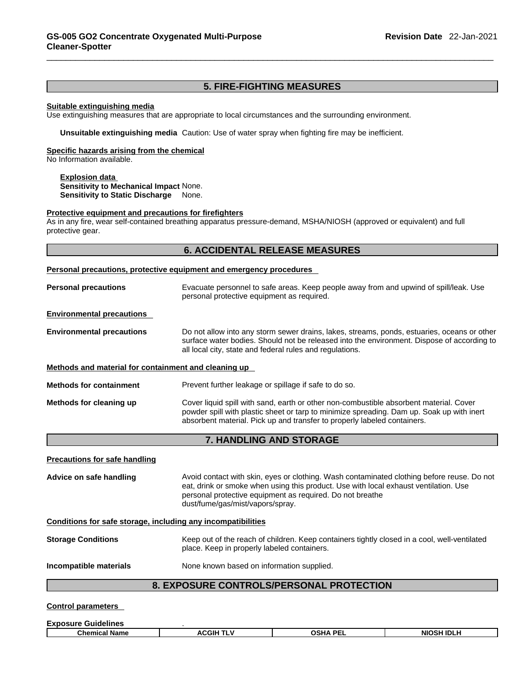#### **5. FIRE-FIGHTING MEASURES**

#### **Suitable extinguishing media**

Use extinguishing measures that are appropriate to local circumstances and the surrounding environment.

**Unsuitable extinguishing media** Caution: Use of water spray when fighting fire may be inefficient.

#### **Specific hazards arising from the chemical**

No Information available.

**Explosion data Sensitivity to Mechanical Impact** None. **Sensitivity to Static Discharge** None.

#### **Protective equipment and precautions for firefighters**

As in any fire, wear self-contained breathing apparatus pressure-demand, MSHA/NIOSH (approved or equivalent) and full protective gear.

### **6. ACCIDENTAL RELEASE MEASURES**

#### **Personal precautions, protective equipment and emergency procedures**

| <b>Personal precautions</b>      | Evacuate personnel to safe areas. Keep people away from and upwind of spill/leak. Use<br>personal protective equipment as required.                                                                                                                   |
|----------------------------------|-------------------------------------------------------------------------------------------------------------------------------------------------------------------------------------------------------------------------------------------------------|
| <b>Environmental precautions</b> |                                                                                                                                                                                                                                                       |
| <b>Environmental precautions</b> | Do not allow into any storm sewer drains, lakes, streams, ponds, estuaries, oceans or other<br>surface water bodies. Should not be released into the environment. Dispose of according to<br>all local city, state and federal rules and regulations. |

**Methods and material for containment and cleaning up**

| <b>Methods for containment</b> | Prevent further leakage or spillage if safe to do so.                                                                                                                                                                                                           |
|--------------------------------|-----------------------------------------------------------------------------------------------------------------------------------------------------------------------------------------------------------------------------------------------------------------|
| Methods for cleaning up        | Cover liquid spill with sand, earth or other non-combustible absorbent material. Cover<br>powder spill with plastic sheet or tarp to minimize spreading. Dam up. Soak up with inert<br>absorbent material. Pick up and transfer to properly labeled containers. |

# **7. HANDLING AND STORAGE**

| <b>Precautions for safe handling</b>                         |                                                                                                                                                                                                                                                                                     |
|--------------------------------------------------------------|-------------------------------------------------------------------------------------------------------------------------------------------------------------------------------------------------------------------------------------------------------------------------------------|
| Advice on safe handling                                      | Avoid contact with skin, eyes or clothing. Wash contaminated clothing before reuse. Do not<br>eat, drink or smoke when using this product. Use with local exhaust ventilation. Use<br>personal protective equipment as required. Do not breathe<br>dust/fume/gas/mist/vapors/spray. |
| Conditions for safe storage, including any incompatibilities |                                                                                                                                                                                                                                                                                     |
| <b>Storage Conditions</b>                                    | Keep out of the reach of children. Keep containers tightly closed in a cool, well-ventilated<br>place. Keep in properly labeled containers.                                                                                                                                         |
| Incompatible materials                                       | None known based on information supplied.                                                                                                                                                                                                                                           |
|                                                              | <b>8. EXPOSURE CONTROLS/PERSONAL PROTECTION</b>                                                                                                                                                                                                                                     |

**Control parameters** 

| Chemical<br>' Name | :GIH | DE. | I IDLH<br><b>NIC</b><br>חכנ |
|--------------------|------|-----|-----------------------------|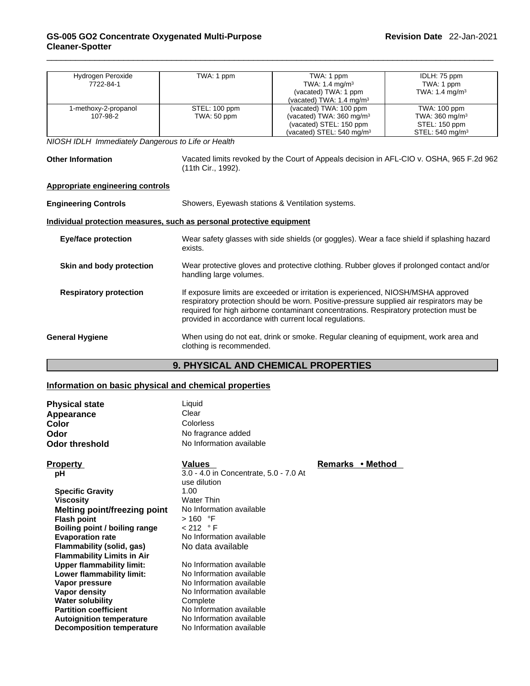| Hydrogen Peroxide                                                     | TWA: 1 ppm               | TWA: 1 ppm                                                                                                           | IDLH: 75 ppm                                                                             |  |
|-----------------------------------------------------------------------|--------------------------|----------------------------------------------------------------------------------------------------------------------|------------------------------------------------------------------------------------------|--|
| 7722-84-1                                                             |                          | TWA: 1.4 mg/m <sup>3</sup>                                                                                           | TWA: 1 ppm                                                                               |  |
|                                                                       |                          | (vacated) TWA: 1 ppm                                                                                                 | TWA: $1.4 \text{ mg/m}^3$                                                                |  |
|                                                                       |                          | (vacated) TWA: 1.4 mg/m <sup>3</sup>                                                                                 |                                                                                          |  |
| 1-methoxy-2-propanol                                                  | STEL: 100 ppm            | (vacated) TWA: 100 ppm                                                                                               | TWA: 100 ppm                                                                             |  |
| 107-98-2                                                              | TWA: 50 ppm              | (vacated) TWA: 360 mg/m <sup>3</sup>                                                                                 | TWA: 360 mg/m <sup>3</sup>                                                               |  |
|                                                                       |                          | (vacated) STEL: 150 ppm                                                                                              | STEL: 150 ppm                                                                            |  |
|                                                                       |                          | (vacated) STEL: 540 mg/m <sup>3</sup>                                                                                | STEL: 540 mg/m <sup>3</sup>                                                              |  |
| NIOSH IDLH Immediately Dangerous to Life or Health                    |                          |                                                                                                                      |                                                                                          |  |
|                                                                       |                          |                                                                                                                      |                                                                                          |  |
| <b>Other Information</b>                                              |                          |                                                                                                                      | Vacated limits revoked by the Court of Appeals decision in AFL-CIO v. OSHA, 965 F.2d 962 |  |
|                                                                       | (11th Cir., 1992).       |                                                                                                                      |                                                                                          |  |
|                                                                       |                          |                                                                                                                      |                                                                                          |  |
| <b>Appropriate engineering controls</b>                               |                          |                                                                                                                      |                                                                                          |  |
| <b>Engineering Controls</b>                                           |                          |                                                                                                                      |                                                                                          |  |
|                                                                       |                          | Showers, Eyewash stations & Ventilation systems.                                                                     |                                                                                          |  |
| Individual protection measures, such as personal protective equipment |                          |                                                                                                                      |                                                                                          |  |
|                                                                       |                          |                                                                                                                      |                                                                                          |  |
| <b>Eye/face protection</b>                                            |                          | Wear safety glasses with side shields (or goggles). Wear a face shield if splashing hazard                           |                                                                                          |  |
|                                                                       | exists.                  |                                                                                                                      |                                                                                          |  |
| Skin and body protection                                              |                          |                                                                                                                      |                                                                                          |  |
|                                                                       |                          | Wear protective gloves and protective clothing. Rubber gloves if prolonged contact and/or<br>handling large volumes. |                                                                                          |  |
|                                                                       |                          |                                                                                                                      |                                                                                          |  |
| <b>Respiratory protection</b>                                         |                          | If exposure limits are exceeded or irritation is experienced, NIOSH/MSHA approved                                    |                                                                                          |  |
|                                                                       |                          | respiratory protection should be worn. Positive-pressure supplied air respirators may be                             |                                                                                          |  |
|                                                                       |                          | required for high airborne contaminant concentrations. Respiratory protection must be                                |                                                                                          |  |
|                                                                       |                          | provided in accordance with current local regulations.                                                               |                                                                                          |  |
|                                                                       |                          |                                                                                                                      |                                                                                          |  |
| <b>General Hygiene</b>                                                |                          | When using do not eat, drink or smoke. Regular cleaning of equipment, work area and                                  |                                                                                          |  |
|                                                                       | clothing is recommended. |                                                                                                                      |                                                                                          |  |
|                                                                       |                          |                                                                                                                      |                                                                                          |  |

# **9. PHYSICAL AND CHEMICAL PROPERTIES**

# **Information on basic physical and chemical properties**

| <b>Physical state</b>             | Liquid                                                 |                  |  |
|-----------------------------------|--------------------------------------------------------|------------------|--|
| Appearance                        | Clear                                                  |                  |  |
| Color                             | <b>Colorless</b>                                       |                  |  |
| Odor                              | No fragrance added                                     |                  |  |
| <b>Odor threshold</b>             | No Information available                               |                  |  |
| <b>Property</b>                   | <b>Values</b>                                          | Remarks • Method |  |
| рH                                | 3.0 - 4.0 in Concentrate, 5.0 - 7.0 At<br>use dilution |                  |  |
| <b>Specific Gravity</b>           | 1.00                                                   |                  |  |
| <b>Viscosity</b>                  | <b>Water Thin</b>                                      |                  |  |
| Melting point/freezing point      | No Information available                               |                  |  |
| <b>Flash point</b>                | $>160$ °F                                              |                  |  |
| Boiling point / boiling range     | < 212 °F                                               |                  |  |
| <b>Evaporation rate</b>           | No Information available                               |                  |  |
| Flammability (solid, gas)         | No data available                                      |                  |  |
| <b>Flammability Limits in Air</b> |                                                        |                  |  |
| <b>Upper flammability limit:</b>  | No Information available                               |                  |  |
| Lower flammability limit:         | No Information available                               |                  |  |
| Vapor pressure                    | No Information available                               |                  |  |
| Vapor density                     | No Information available                               |                  |  |
| <b>Water solubility</b>           | Complete                                               |                  |  |
| <b>Partition coefficient</b>      | No Information available                               |                  |  |
| <b>Autoignition temperature</b>   | No Information available                               |                  |  |
| <b>Decomposition temperature</b>  | No Information available                               |                  |  |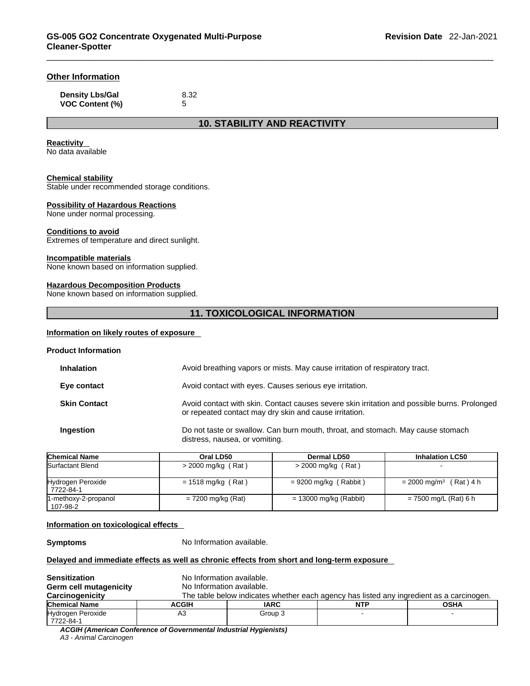# **Other Information**

| <b>Density Lbs/Gal</b> | 8.32 |
|------------------------|------|
| <b>VOC Content (%)</b> |      |

**10. STABILITY AND REACTIVITY** 

#### **Reactivity**

No data available

# **Chemical stability**

Stable under recommended storage conditions.

#### **Possibility of Hazardous Reactions**

None under normal processing.

#### **Conditions to avoid**

Extremes of temperature and direct sunlight.

#### **Incompatible materials**

None known based on information supplied.

#### **Hazardous Decomposition Products**

None known based on information supplied.

### **11. TOXICOLOGICAL INFORMATION**

#### **Information on likely routes of exposure**

#### **Product Information**

| Chemical Name       | Oral LD50 | Dermal LD50                                                                                                                                            | <b>Inhalation LC50</b> |  |
|---------------------|-----------|--------------------------------------------------------------------------------------------------------------------------------------------------------|------------------------|--|
| Ingestion           |           | Do not taste or swallow. Can burn mouth, throat, and stomach. May cause stomach<br>distress, nausea, or vomiting.                                      |                        |  |
| <b>Skin Contact</b> |           | Avoid contact with skin. Contact causes severe skin irritation and possible burns. Prolonged<br>or repeated contact may dry skin and cause irritation. |                        |  |
| Eye contact         |           | Avoid contact with eyes. Causes serious eye irritation.                                                                                                |                        |  |
| <b>Inhalation</b>   |           | Avoid breathing vapors or mists. May cause irritation of respiratory tract.                                                                            |                        |  |

| סווסווווטמו וזמוווס              | VIAI LVJV            | DGHIRI LDJV             | IIIIIalauvii Luju                 |
|----------------------------------|----------------------|-------------------------|-----------------------------------|
| Surfactant Blend                 | $>$ 2000 mg/kg (Rat) | > 2000 mg/kg (Rat)      |                                   |
| Hydrogen Peroxide<br>7722-84-1   | $= 1518$ mg/kg (Rat) | $= 9200$ mg/kg (Rabbit) | $= 2000 \text{ mg/m}^3$ (Rat) 4 h |
| 1-methoxy-2-propanol<br>107-98-2 | = 7200 mg/kg (Rat)   | = 13000 mg/kg (Rabbit)  | = 7500 mg/L (Rat) 6 h             |

#### **Information on toxicological effects**

**Symptoms** No Information available.

#### **Delayed and immediate effects as well as chronic effects from short and long-term exposure**

| <b>Sensitization</b>           | No Information available. |                                                                                          |     |             |  |
|--------------------------------|---------------------------|------------------------------------------------------------------------------------------|-----|-------------|--|
| Germ cell mutagenicity         | No Information available. |                                                                                          |     |             |  |
| Carcinogenicity                |                           | The table below indicates whether each agency has listed any ingredient as a carcinogen. |     |             |  |
| <b>Chemical Name</b>           | <b>ACGIH</b>              | <b>IARC</b>                                                                              | NTP | <b>OSHA</b> |  |
| Hydrogen Peroxide<br>7722-84-1 | A3                        | Group 3                                                                                  |     |             |  |

*ACGIH (American Conference of Governmental Industrial Hygienists) A3 - Animal Carcinogen*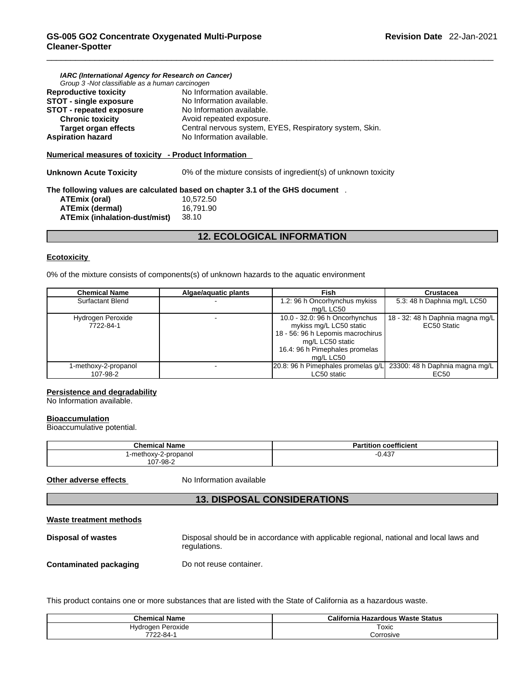| IARC (International Agency for Research on Cancer)<br>Group 3 -Not classifiable as a human carcinogen |                                                                               |
|-------------------------------------------------------------------------------------------------------|-------------------------------------------------------------------------------|
| <b>Reproductive toxicity</b>                                                                          | No Information available.                                                     |
| <b>STOT - single exposure</b>                                                                         | No Information available.                                                     |
| <b>STOT - repeated exposure</b>                                                                       | No Information available.                                                     |
| <b>Chronic toxicity</b>                                                                               | Avoid repeated exposure.                                                      |
| Target organ effects                                                                                  | Central nervous system, EYES, Respiratory system, Skin.                       |
| <b>Aspiration hazard</b>                                                                              | No Information available.                                                     |
| Numerical measures of toxicity - Product Information<br>Unknown Acute Toxicity                        | 0% of the mixture consists of ingredient(s) of unknown toxicity               |
|                                                                                                       | The following values are calculated based on chapter 3.1 of the GHS document. |
| ATEmix (oral)                                                                                         | 10,572.50                                                                     |
| <b>ATEmix (dermal)</b>                                                                                | 16.791.90                                                                     |
| ATEmix (inhalation-dust/mist)                                                                         | 38.10                                                                         |
|                                                                                                       |                                                                               |

# **12. ECOLOGICAL INFORMATION**

#### **Ecotoxicity**

0% of the mixture consists of components(s) of unknown hazards to the aquatic environment

| <b>Chemical Name</b>             | Algae/aquatic plants | Fish                                                                                                                                                              | <b>Crustacea</b>                                |
|----------------------------------|----------------------|-------------------------------------------------------------------------------------------------------------------------------------------------------------------|-------------------------------------------------|
| <b>Surfactant Blend</b>          |                      | 1.2: 96 h Oncorhynchus mykiss<br>mg/L LC50                                                                                                                        | 5.3: 48 h Daphnia mg/L LC50                     |
| Hydrogen Peroxide<br>7722-84-1   |                      | 10.0 - 32.0: 96 h Oncorhynchus<br>mykiss mg/L LC50 static<br>18 - 56: 96 h Lepomis macrochirus<br>mg/L LC50 static<br>16.4: 96 h Pimephales promelas<br>ma/L LC50 | 18 - 32: 48 h Daphnia magna mg/L<br>EC50 Static |
| 1-methoxy-2-propanol<br>107-98-2 |                      | 20.8: 96 h Pimephales promelas q/L 23300: 48 h Daphnia magna mg/L<br>LC50 static                                                                                  | EC50                                            |

#### **Persistence and degradability**

No Information available.

#### **Bioaccumulation**

Bioaccumulative potential.

| <b>Chemical Name</b> | <b>Partition coefficient</b> |
|----------------------|------------------------------|
| 1-methoxy-2-propanol | 0.437<br>- 1                 |
| 107-98-2             |                              |

**Other adverse effects** No Information available

# **13. DISPOSAL CONSIDERATIONS**

#### **Waste treatment methods**

| Disposal of wastes            | Disposal should be in accordance with applicable regional, national and local laws and<br>regulations. |
|-------------------------------|--------------------------------------------------------------------------------------------------------|
| <b>Contaminated packaging</b> | Do not reuse container.                                                                                |

This product contains one or more substances that are listed with the State of California as a hazardous waste.

| <b>Chemical Name</b> | California Hazardous Waste Status |  |
|----------------------|-----------------------------------|--|
| Hydrogen Peroxide    | Toxic                             |  |
| 7722-84-             | Corrosive                         |  |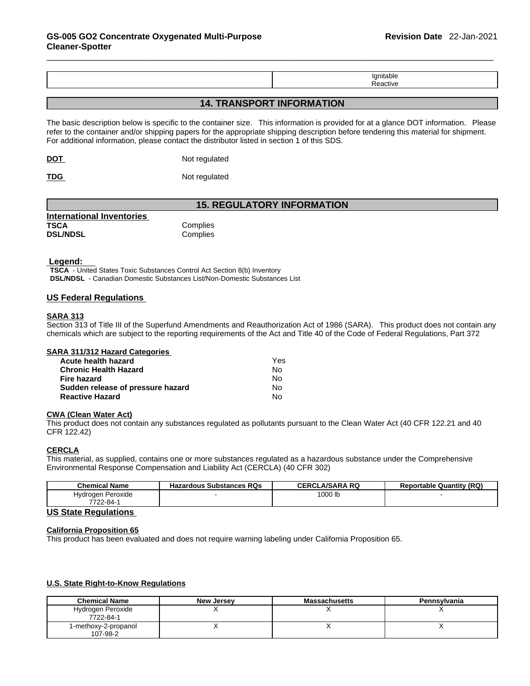| .      |
|--------|
| 71 I I |

# **14. TRANSPORT INFORMATION**

The basic description below is specific to the container size. This information is provided for at a glance DOT information. Please refer to the container and/or shipping papers for the appropriate shipping description before tendering this material for shipment. For additional information, please contact the distributor listed in section 1 of this SDS.

**DOT** Not regulated

**TDG** Not regulated

# **15. REGULATORY INFORMATION**

| International Inventories |          |
|---------------------------|----------|
| <b>TSCA</b>               | Complies |
| <b>DSL/NDSL</b>           | Complies |

#### **Legend:**

**TSCA** - United States Toxic Substances Control Act Section 8(b) Inventory **DSL/NDSL** - Canadian Domestic Substances List/Non-Domestic Substances List

#### **US Federal Regulations**

#### **SARA 313**

Section 313 of Title III of the Superfund Amendments and Reauthorization Act of 1986 (SARA). This product does not contain any chemicals which are subject to the reporting requirements of the Act and Title 40 of the Code of Federal Regulations, Part 372

#### **SARA 311/312 Hazard Categories**

| Acute health hazard               | Yes |  |
|-----------------------------------|-----|--|
| Chronic Health Hazard             | No. |  |
| Fire hazard                       | N٥  |  |
| Sudden release of pressure hazard | No. |  |
| <b>Reactive Hazard</b>            | N٥  |  |

#### **CWA** (Clean Water Act)

This product does not contain any substances regulated as pollutants pursuant to the Clean Water Act (40 CFR 122.21 and 40 CFR 122.42)

#### **CERCLA**

This material, as supplied, contains one or more substances regulated as a hazardous substance under the Comprehensive Environmental Response Compensation and Liability Act (CERCLA) (40 CFR 302)

| <b>Chemical Name</b>    | <b>Hazardous Substances RQs</b> | .A/SARA RQ<br><b>CEDCI</b> | <b>Reportable Quantity (RQ)</b> |
|-------------------------|---------------------------------|----------------------------|---------------------------------|
| l Peroxide<br>Hydrogen, |                                 | 1000 lb                    |                                 |
| 7722-84-                |                                 |                            |                                 |

#### **US State Regulations**

#### **California Proposition 65**

This product has been evaluated and does not require warning labeling under California Proposition 65.

#### **U.S. State Right-to-Know Regulations**

| <b>Chemical Name</b>             | New Jersey | <b>Massachusetts</b> | <b>Pennsylvania</b> |
|----------------------------------|------------|----------------------|---------------------|
| Hydrogen Peroxide<br>7722-84-1   |            |                      |                     |
| 1-methoxy-2-propanol<br>107-98-2 |            |                      |                     |